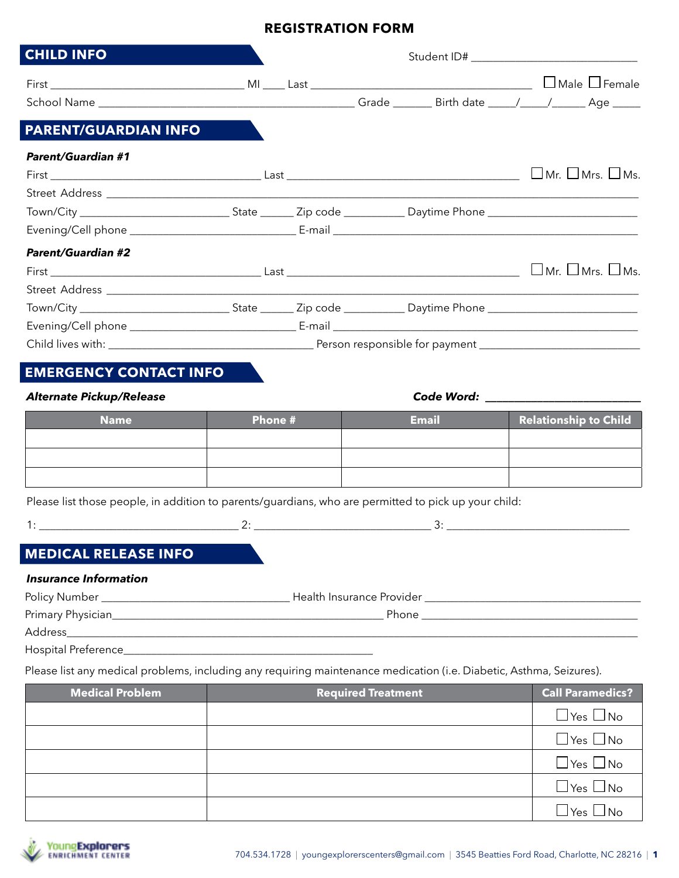# **REGISTRATION FORM**

| <b>CHILD INFO</b>               |         |  |                                                                                                                |  |                              |
|---------------------------------|---------|--|----------------------------------------------------------------------------------------------------------------|--|------------------------------|
|                                 |         |  |                                                                                                                |  |                              |
|                                 |         |  |                                                                                                                |  |                              |
| <b>PARENT/GUARDIAN INFO</b>     |         |  |                                                                                                                |  |                              |
| <b>Parent/Guardian #1</b>       |         |  |                                                                                                                |  |                              |
|                                 |         |  |                                                                                                                |  |                              |
|                                 |         |  |                                                                                                                |  |                              |
|                                 |         |  |                                                                                                                |  |                              |
|                                 |         |  |                                                                                                                |  |                              |
| <b>Parent/Guardian #2</b>       |         |  |                                                                                                                |  |                              |
|                                 |         |  |                                                                                                                |  |                              |
|                                 |         |  |                                                                                                                |  |                              |
|                                 |         |  |                                                                                                                |  |                              |
|                                 |         |  |                                                                                                                |  |                              |
|                                 |         |  |                                                                                                                |  |                              |
| <b>EMERGENCY CONTACT INFO</b>   |         |  |                                                                                                                |  |                              |
| <b>Alternate Pickup/Release</b> |         |  | Code Word: The Code Word of the Code of the Code of the Code of the Code of the Code of the Code of the Code o |  |                              |
| <b>Name</b>                     | Phone # |  | <b>Email</b>                                                                                                   |  | <b>Relationship to Child</b> |
|                                 |         |  |                                                                                                                |  |                              |
|                                 |         |  |                                                                                                                |  |                              |
|                                 |         |  |                                                                                                                |  |                              |

Please list those people, in addition to parents/guardians, who are permitted to pick up your child:

1: \_\_\_\_\_\_\_\_\_\_\_\_\_\_\_\_\_\_\_\_\_\_\_\_\_\_\_\_\_\_\_\_\_\_\_\_ 2: \_\_\_\_\_\_\_\_\_\_\_\_\_\_\_\_\_\_\_\_\_\_\_\_\_\_\_\_\_\_\_\_ 3: \_\_\_\_\_\_\_\_\_\_\_\_\_\_\_\_\_\_\_\_\_\_\_\_\_\_\_\_\_\_\_\_\_

# **MEDICAL RELEASE INFO**

### *Insurance Information*

| Policy Number      | Health Insurance Provider |  |
|--------------------|---------------------------|--|
| Primary Physician_ | Phone                     |  |
| Address            |                           |  |

Hospital Preference\_\_\_\_\_\_\_\_\_\_\_

Please list any medical problems, including any requiring maintenance medication (i.e. Diabetic, Asthma, Seizures).

| <b>Medical Problem</b> | <b>Required Treatment</b> | <b>Call Paramedics?</b>        |
|------------------------|---------------------------|--------------------------------|
|                        |                           | $\Box$ Yes $\Box$ No           |
|                        |                           | $\Box$ Yes $\Box$ No           |
|                        |                           | $\Box$ Yes $\Box$ No           |
|                        |                           | $\Box$ Yes $\Box$ No           |
|                        |                           | $\Box$ Yes $\Box$<br>$\Box$ No |